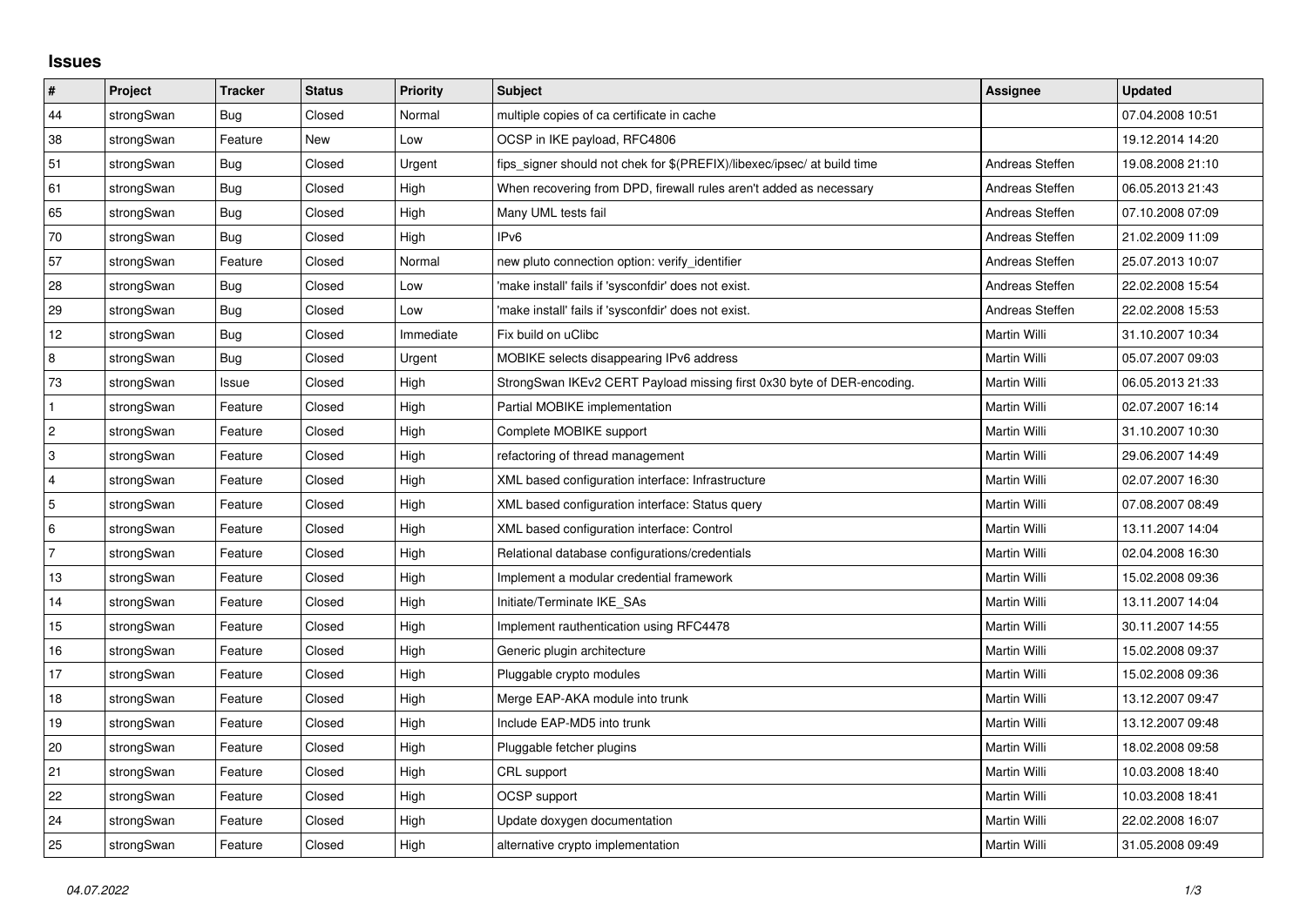## **Issues**

| $\vert$ #      | Project    | <b>Tracker</b> | <b>Status</b> | <b>Priority</b> | <b>Subject</b>                                                          | <b>Assignee</b> | <b>Updated</b>   |
|----------------|------------|----------------|---------------|-----------------|-------------------------------------------------------------------------|-----------------|------------------|
| 44             | strongSwan | Bug            | Closed        | Normal          | multiple copies of ca certificate in cache                              |                 | 07.04.2008 10:51 |
| 38             | strongSwan | Feature        | New           | Low             | OCSP in IKE payload, RFC4806                                            |                 | 19.12.2014 14:20 |
| 51             | strongSwan | <b>Bug</b>     | Closed        | Urgent          | fips signer should not chek for \$(PREFIX)/libexec/ipsec/ at build time | Andreas Steffen | 19.08.2008 21:10 |
| 61             | strongSwan | Bug            | Closed        | High            | When recovering from DPD, firewall rules aren't added as necessary      | Andreas Steffen | 06.05.2013 21:43 |
| 65             | strongSwan | Bug            | Closed        | High            | Many UML tests fail                                                     | Andreas Steffen | 07.10.2008 07:09 |
| 70             | strongSwan | Bug            | Closed        | High            | IP <sub>v6</sub>                                                        | Andreas Steffen | 21.02.2009 11:09 |
| 57             | strongSwan | Feature        | Closed        | Normal          | new pluto connection option: verify identifier                          | Andreas Steffen | 25.07.2013 10:07 |
| 28             | strongSwan | Bug            | Closed        | Low             | 'make install' fails if 'sysconfdir' does not exist.                    | Andreas Steffen | 22.02.2008 15:54 |
| 29             | strongSwan | Bug            | Closed        | Low             | 'make install' fails if 'sysconfdir' does not exist.                    | Andreas Steffen | 22.02.2008 15:53 |
| 12             | strongSwan | Bug            | Closed        | Immediate       | Fix build on uClibc                                                     | Martin Willi    | 31.10.2007 10:34 |
| $\bf 8$        | strongSwan | Bug            | Closed        | Urgent          | MOBIKE selects disappearing IPv6 address                                | Martin Willi    | 05.07.2007 09:03 |
| 73             | strongSwan | Issue          | Closed        | High            | StrongSwan IKEv2 CERT Payload missing first 0x30 byte of DER-encoding.  | Martin Willi    | 06.05.2013 21:33 |
| $\mathbf 1$    | strongSwan | Feature        | Closed        | High            | Partial MOBIKE implementation                                           | Martin Willi    | 02.07.2007 16:14 |
| $\overline{c}$ | strongSwan | Feature        | Closed        | High            | Complete MOBIKE support                                                 | Martin Willi    | 31.10.2007 10:30 |
| 3              | strongSwan | Feature        | Closed        | High            | refactoring of thread management                                        | Martin Willi    | 29.06.2007 14:49 |
| $\overline{4}$ | strongSwan | Feature        | Closed        | High            | XML based configuration interface: Infrastructure                       | Martin Willi    | 02.07.2007 16:30 |
| 5              | strongSwan | Feature        | Closed        | High            | XML based configuration interface: Status query                         | Martin Willi    | 07.08.2007 08:49 |
| 6              | strongSwan | Feature        | Closed        | High            | XML based configuration interface: Control                              | Martin Willi    | 13.11.2007 14:04 |
| $\overline{7}$ | strongSwan | Feature        | Closed        | High            | Relational database configurations/credentials                          | Martin Willi    | 02.04.2008 16:30 |
| 13             | strongSwan | Feature        | Closed        | High            | Implement a modular credential framework                                | Martin Willi    | 15.02.2008 09:36 |
| 14             | strongSwan | Feature        | Closed        | High            | Initiate/Terminate IKE SAs                                              | Martin Willi    | 13.11.2007 14:04 |
| 15             | strongSwan | Feature        | Closed        | High            | Implement rauthentication using RFC4478                                 | Martin Willi    | 30.11.2007 14:55 |
| 16             | strongSwan | Feature        | Closed        | High            | Generic plugin architecture                                             | Martin Willi    | 15.02.2008 09:37 |
| 17             | strongSwan | Feature        | Closed        | High            | Pluggable crypto modules                                                | Martin Willi    | 15.02.2008 09:36 |
| $18$           | strongSwan | Feature        | Closed        | High            | Merge EAP-AKA module into trunk                                         | Martin Willi    | 13.12.2007 09:47 |
| 19             | strongSwan | Feature        | Closed        | High            | Include EAP-MD5 into trunk                                              | Martin Willi    | 13.12.2007 09:48 |
| 20             | strongSwan | Feature        | Closed        | High            | Pluggable fetcher plugins                                               | Martin Willi    | 18.02.2008 09:58 |
| 21             | strongSwan | Feature        | Closed        | High            | CRL support                                                             | Martin Willi    | 10.03.2008 18:40 |
| 22             | strongSwan | Feature        | Closed        | High            | OCSP support                                                            | Martin Willi    | 10.03.2008 18:41 |
| 24             | strongSwan | Feature        | Closed        | High            | Update doxygen documentation                                            | Martin Willi    | 22.02.2008 16:07 |
| 25             | strongSwan | Feature        | Closed        | High            | alternative crypto implementation                                       | Martin Willi    | 31.05.2008 09:49 |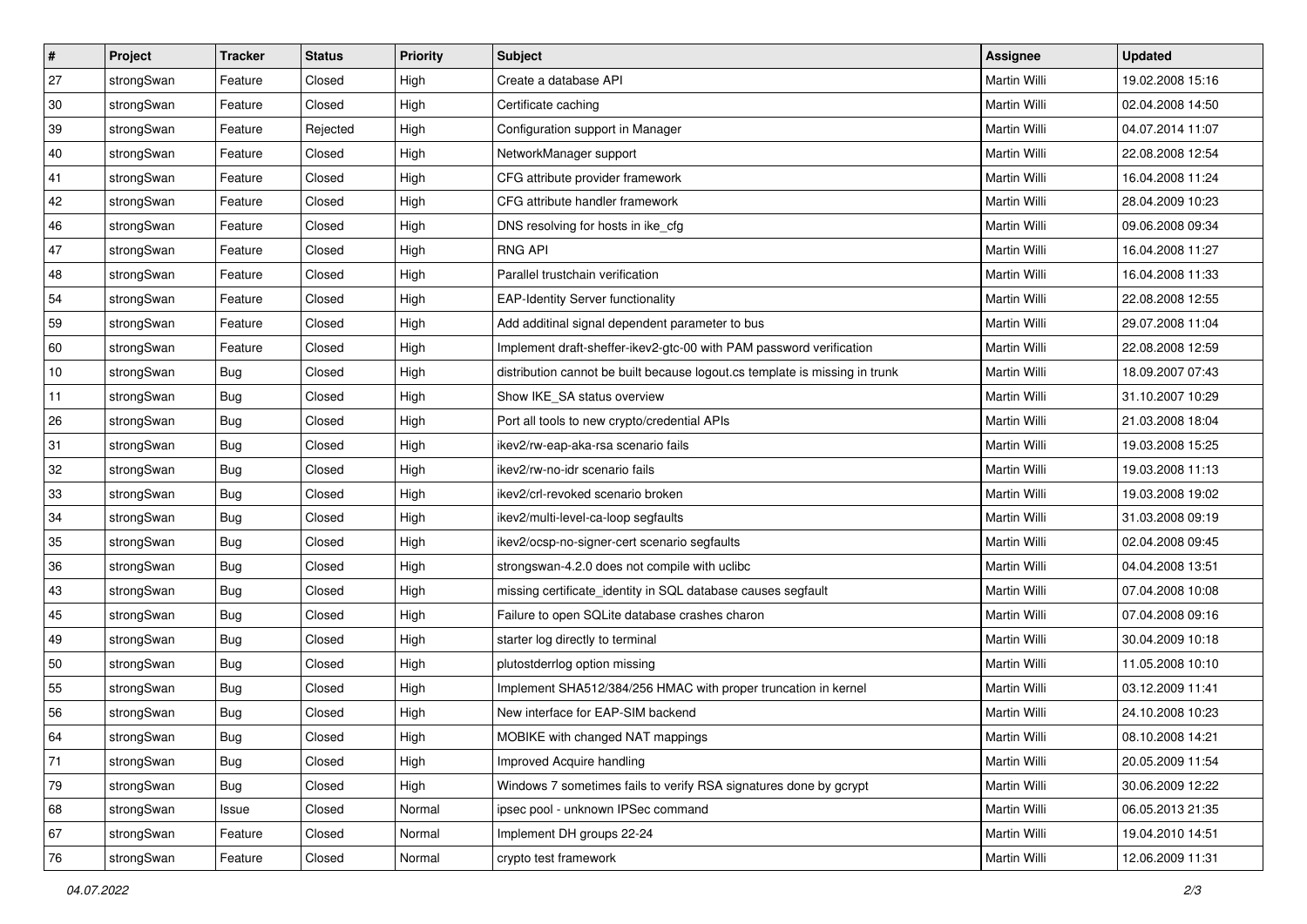| $\vert$ # | Project    | <b>Tracker</b> | <b>Status</b> | <b>Priority</b> | <b>Subject</b>                                                              | Assignee            | <b>Updated</b>   |
|-----------|------------|----------------|---------------|-----------------|-----------------------------------------------------------------------------|---------------------|------------------|
| 27        | strongSwan | Feature        | Closed        | High            | Create a database API                                                       | Martin Willi        | 19.02.2008 15:16 |
| 30        | strongSwan | Feature        | Closed        | High            | Certificate caching                                                         | <b>Martin Willi</b> | 02.04.2008 14:50 |
| 39        | strongSwan | Feature        | Rejected      | High            | Configuration support in Manager                                            | Martin Willi        | 04.07.2014 11:07 |
| 40        | strongSwan | Feature        | Closed        | High            | NetworkManager support                                                      | Martin Willi        | 22.08.2008 12:54 |
| 41        | strongSwan | Feature        | Closed        | High            | CFG attribute provider framework                                            | Martin Willi        | 16.04.2008 11:24 |
| 42        | strongSwan | Feature        | Closed        | High            | CFG attribute handler framework                                             | Martin Willi        | 28.04.2009 10:23 |
| 46        | strongSwan | Feature        | Closed        | High            | DNS resolving for hosts in ike_cfg                                          | Martin Willi        | 09.06.2008 09:34 |
| 47        | strongSwan | Feature        | Closed        | High            | <b>RNG API</b>                                                              | Martin Willi        | 16.04.2008 11:27 |
| 48        | strongSwan | Feature        | Closed        | High            | Parallel trustchain verification                                            | Martin Willi        | 16.04.2008 11:33 |
| 54        | strongSwan | Feature        | Closed        | High            | <b>EAP-Identity Server functionality</b>                                    | Martin Willi        | 22.08.2008 12:55 |
| 59        | strongSwan | Feature        | Closed        | High            | Add additinal signal dependent parameter to bus                             | Martin Willi        | 29.07.2008 11:04 |
| 60        | strongSwan | Feature        | Closed        | High            | Implement draft-sheffer-ikev2-gtc-00 with PAM password verification         | Martin Willi        | 22.08.2008 12:59 |
| 10        | strongSwan | Bug            | Closed        | High            | distribution cannot be built because logout.cs template is missing in trunk | Martin Willi        | 18.09.2007 07:43 |
| 11        | strongSwan | Bug            | Closed        | High            | Show IKE SA status overview                                                 | Martin Willi        | 31.10.2007 10:29 |
| 26        | strongSwan | Bug            | Closed        | High            | Port all tools to new crypto/credential APIs                                | <b>Martin Willi</b> | 21.03.2008 18:04 |
| 31        | strongSwan | <b>Bug</b>     | Closed        | High            | ikev2/rw-eap-aka-rsa scenario fails                                         | Martin Willi        | 19.03.2008 15:25 |
| 32        | strongSwan | <b>Bug</b>     | Closed        | High            | ikev2/rw-no-idr scenario fails                                              | <b>Martin Willi</b> | 19.03.2008 11:13 |
| 33        | strongSwan | Bug            | Closed        | High            | ikev2/crl-revoked scenario broken                                           | Martin Willi        | 19.03.2008 19:02 |
| 34        | strongSwan | <b>Bug</b>     | Closed        | High            | ikev2/multi-level-ca-loop segfaults                                         | Martin Willi        | 31.03.2008 09:19 |
| 35        | strongSwan | Bug            | Closed        | High            | ikev2/ocsp-no-signer-cert scenario segfaults                                | Martin Willi        | 02.04.2008 09:45 |
| 36        | strongSwan | <b>Bug</b>     | Closed        | High            | strongswan-4.2.0 does not compile with uclibc                               | Martin Willi        | 04.04.2008 13:51 |
| 43        | strongSwan | <b>Bug</b>     | Closed        | High            | missing certificate_identity in SQL database causes segfault                | Martin Willi        | 07.04.2008 10:08 |
| 45        | strongSwan | Bug            | Closed        | High            | Failure to open SQLite database crashes charon                              | Martin Willi        | 07.04.2008 09:16 |
| 49        | strongSwan | Bug            | Closed        | High            | starter log directly to terminal                                            | Martin Willi        | 30.04.2009 10:18 |
| 50        | strongSwan | <b>Bug</b>     | Closed        | High            | plutostderrlog option missing                                               | Martin Willi        | 11.05.2008 10:10 |
| 55        | strongSwan | <b>Bug</b>     | Closed        | High            | Implement SHA512/384/256 HMAC with proper truncation in kernel              | Martin Willi        | 03.12.2009 11:41 |
| 56        | strongSwan | Bug            | Closed        | High            | New interface for EAP-SIM backend                                           | Martin Willi        | 24.10.2008 10:23 |
| 64        | strongSwan | Bug            | Closed        | High            | MOBIKE with changed NAT mappings                                            | Martin Willi        | 08.10.2008 14:21 |
| 71        | strongSwan | Bug            | Closed        | High            | Improved Acquire handling                                                   | <b>Martin Willi</b> | 20.05.2009 11:54 |
| 79        | strongSwan | Bug            | Closed        | High            | Windows 7 sometimes fails to verify RSA signatures done by gcrypt           | Martin Willi        | 30.06.2009 12:22 |
| 68        | strongSwan | Issue          | Closed        | Normal          | ipsec pool - unknown IPSec command                                          | Martin Willi        | 06.05.2013 21:35 |
| 67        | strongSwan | Feature        | Closed        | Normal          | Implement DH groups 22-24                                                   | Martin Willi        | 19.04.2010 14:51 |
| 76        | strongSwan | Feature        | Closed        | Normal          | crypto test framework                                                       | Martin Willi        | 12.06.2009 11:31 |